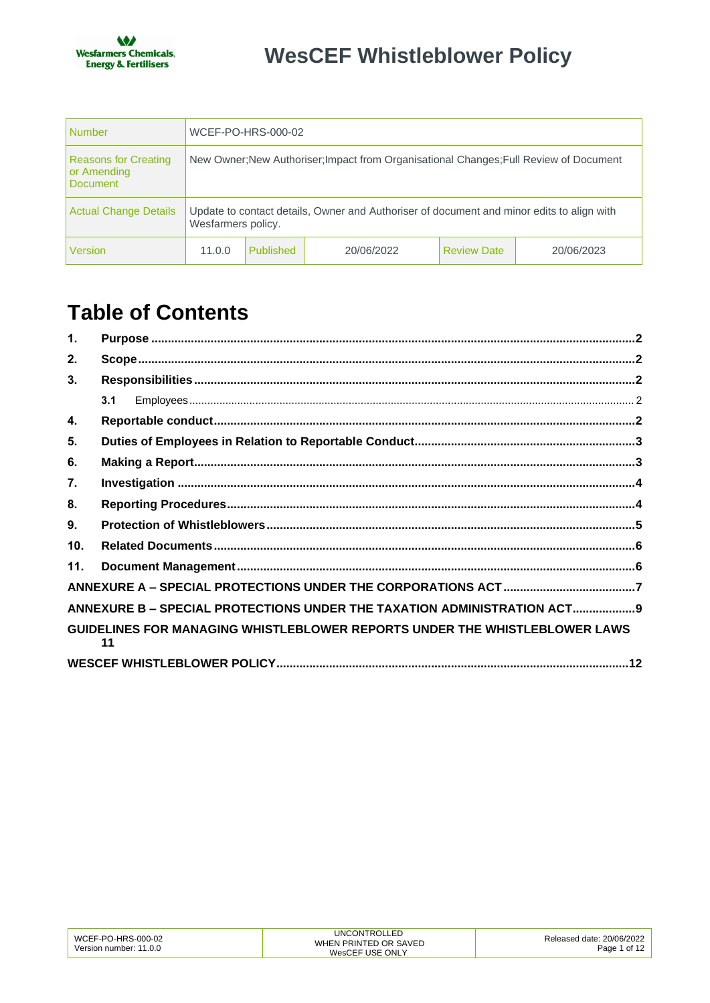| <b>Number</b>                                                 | WCEF-PO-HRS-000-02                                                                                              |           |            |                    |            |
|---------------------------------------------------------------|-----------------------------------------------------------------------------------------------------------------|-----------|------------|--------------------|------------|
| <b>Reasons for Creating</b><br>or Amending<br><b>Document</b> | New Owner; New Authoriser; Impact from Organisational Changes; Full Review of Document                          |           |            |                    |            |
| <b>Actual Change Details</b>                                  | Update to contact details, Owner and Authoriser of document and minor edits to align with<br>Wesfarmers policy. |           |            |                    |            |
| <b>Version</b>                                                | 11.0.0                                                                                                          | Published | 20/06/2022 | <b>Review Date</b> | 20/06/2023 |

# **Table of Contents**

| 1.  |                                                                                  |  |
|-----|----------------------------------------------------------------------------------|--|
| 2.  |                                                                                  |  |
| 3.  |                                                                                  |  |
|     | 3.1                                                                              |  |
| 4.  |                                                                                  |  |
| 5.  |                                                                                  |  |
| 6.  |                                                                                  |  |
| 7.  |                                                                                  |  |
| 8.  |                                                                                  |  |
| 9.  |                                                                                  |  |
| 10. |                                                                                  |  |
| 11. |                                                                                  |  |
|     |                                                                                  |  |
|     | ANNEXURE B - SPECIAL PROTECTIONS UNDER THE TAXATION ADMINISTRATION ACT 9         |  |
|     | GUIDELINES FOR MANAGING WHISTLEBLOWER REPORTS UNDER THE WHISTLEBLOWER LAWS<br>11 |  |
|     |                                                                                  |  |

| WCEF-PO-HRS-000-02<br>Version number: 11.0.0 | <b>UNCONTROLLED</b><br>WHEN PRINTED OR SAVED<br>WesCEF USE ONLY | Released date: 20/06/2022<br>Page 1 of 12 |
|----------------------------------------------|-----------------------------------------------------------------|-------------------------------------------|
|----------------------------------------------|-----------------------------------------------------------------|-------------------------------------------|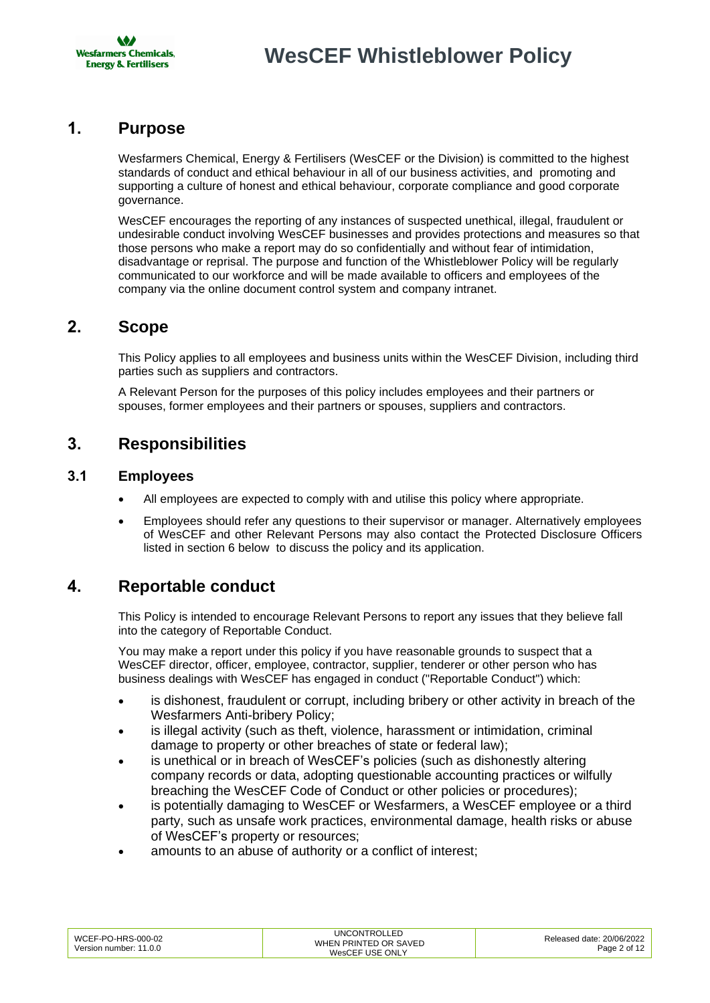

### <span id="page-1-0"></span>**1. Purpose**

Wesfarmers Chemical, Energy & Fertilisers (WesCEF or the Division) is committed to the highest standards of conduct and ethical behaviour in all of our business activities, and promoting and supporting a culture of honest and ethical behaviour, corporate compliance and good corporate governance.

WesCEF encourages the reporting of any instances of suspected unethical, illegal, fraudulent or undesirable conduct involving WesCEF businesses and provides protections and measures so that those persons who make a report may do so confidentially and without fear of intimidation, disadvantage or reprisal. The purpose and function of the Whistleblower Policy will be regularly communicated to our workforce and will be made available to officers and employees of the company via the online document control system and company intranet.

#### <span id="page-1-1"></span>**2. Scope**

This Policy applies to all employees and business units within the WesCEF Division, including third parties such as suppliers and contractors.

A Relevant Person for the purposes of this policy includes employees and their partners or spouses, former employees and their partners or spouses, suppliers and contractors.

### <span id="page-1-2"></span>**3. Responsibilities**

#### <span id="page-1-3"></span>**3.1 Employees**

- All employees are expected to comply with and utilise this policy where appropriate.
- Employees should refer any questions to their supervisor or manager. Alternatively employees of WesCEF and other Relevant Persons may also contact the Protected Disclosure Officers listed in section 6 below to discuss the policy and its application.

### <span id="page-1-4"></span>**4. Reportable conduct**

This Policy is intended to encourage Relevant Persons to report any issues that they believe fall into the category of Reportable Conduct.

You may make a report under this policy if you have reasonable grounds to suspect that a WesCEF director, officer, employee, contractor, supplier, tenderer or other person who has business dealings with WesCEF has engaged in conduct ("Reportable Conduct") which:

- is dishonest, fraudulent or corrupt, including bribery or other activity in breach of the Wesfarmers Anti-bribery Policy;
- is illegal activity (such as theft, violence, harassment or intimidation, criminal damage to property or other breaches of state or federal law);
- is unethical or in breach of WesCEF's policies (such as dishonestly altering company records or data, adopting questionable accounting practices or wilfully breaching the WesCEF Code of Conduct or other policies or procedures);
- is potentially damaging to WesCEF or Wesfarmers, a WesCEF employee or a third party, such as unsafe work practices, environmental damage, health risks or abuse of WesCEF's property or resources;
- amounts to an abuse of authority or a conflict of interest;

| WCEF-PO-HRS-000-02<br>Version number: 11.0.0 | UNCONTROLLED<br>WHEN PRINTED OR SAVED<br>WesCEF USE ONLY | Released date: 20/06/2022<br>Page 2 of 12 |
|----------------------------------------------|----------------------------------------------------------|-------------------------------------------|
|                                              |                                                          |                                           |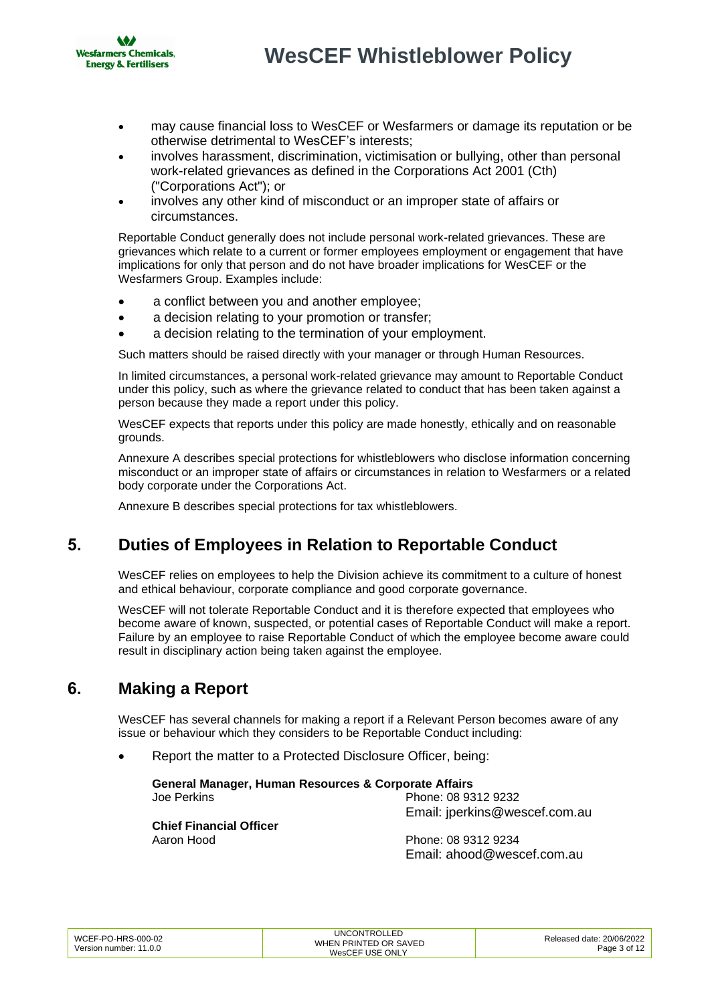

- may cause financial loss to WesCEF or Wesfarmers or damage its reputation or be otherwise detrimental to WesCEF's interests;
- involves harassment, discrimination, victimisation or bullying, other than personal work-related grievances as defined in the Corporations Act 2001 (Cth) ("Corporations Act"); or
- involves any other kind of misconduct or an improper state of affairs or circumstances.

Reportable Conduct generally does not include personal work-related grievances. These are grievances which relate to a current or former employees employment or engagement that have implications for only that person and do not have broader implications for WesCEF or the Wesfarmers Group. Examples include:

- a conflict between you and another employee;
- a decision relating to your promotion or transfer;
- a decision relating to the termination of your employment.

Such matters should be raised directly with your manager or through Human Resources.

In limited circumstances, a personal work-related grievance may amount to Reportable Conduct under this policy, such as where the grievance related to conduct that has been taken against a person because they made a report under this policy.

WesCEF expects that reports under this policy are made honestly, ethically and on reasonable grounds.

Annexure A describes special protections for whistleblowers who disclose information concerning misconduct or an improper state of affairs or circumstances in relation to Wesfarmers or a related body corporate under the Corporations Act.

Annexure B describes special protections for tax whistleblowers.

### <span id="page-2-0"></span>**5. Duties of Employees in Relation to Reportable Conduct**

WesCEF relies on employees to help the Division achieve its commitment to a culture of honest and ethical behaviour, corporate compliance and good corporate governance.

WesCEF will not tolerate Reportable Conduct and it is therefore expected that employees who become aware of known, suspected, or potential cases of Reportable Conduct will make a report. Failure by an employee to raise Reportable Conduct of which the employee become aware could result in disciplinary action being taken against the employee.

### <span id="page-2-1"></span>**6. Making a Report**

WesCEF has several channels for making a report if a Relevant Person becomes aware of any issue or behaviour which they considers to be Reportable Conduct including:

• Report the matter to a Protected Disclosure Officer, being:

**General Manager, Human Resources & Corporate Affairs** Joe Perkins Phone: 08 9312 9232

**Chief Financial Officer** Aaron Hood **Phone: 08 9312 9234** 

Email: jperkin[s@wescef.com.au](mailto:@wescef.com.au)

Email: [ahood@wescef.com.au](mailto:ahood@wescef.com.au)

| WCEF-PO-HRS-000-02     | <b>UNCONTROLLED</b>   | Released date: 20/06/2022 |
|------------------------|-----------------------|---------------------------|
|                        | WHEN PRINTED OR SAVED |                           |
| Version number: 11.0.0 | WesCEF USE ONLY       | Page 3 of 12              |
|                        |                       |                           |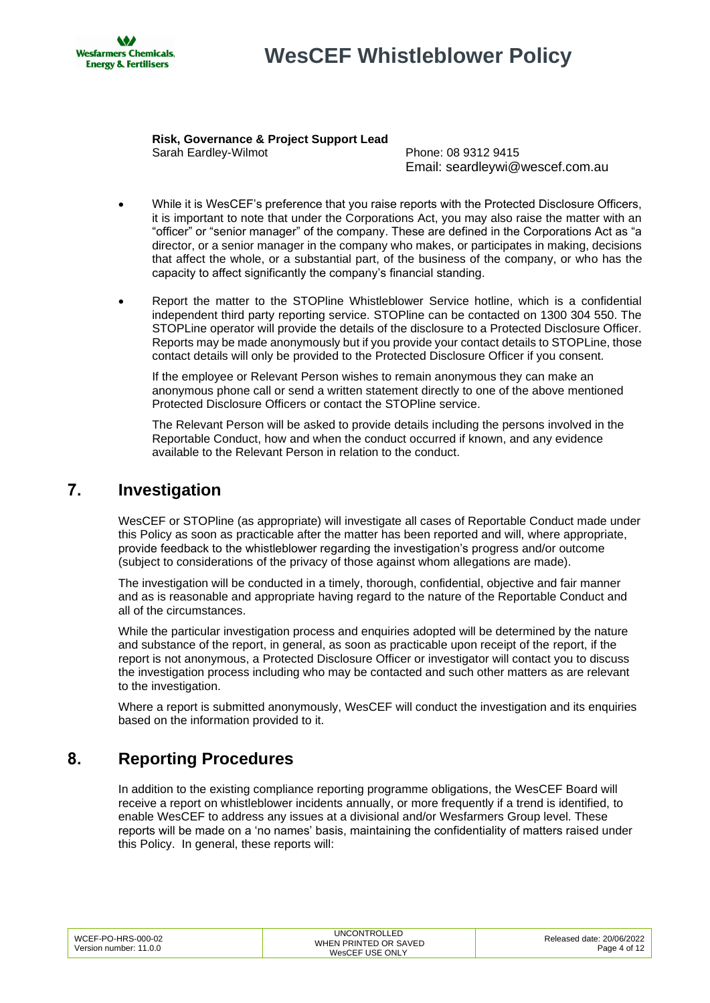

# **WesCEF Whistleblower Policy**

**Risk, Governance & Project Support Lead** Sarah Eardley-Wilmot Phone: 08 9312 9415

Email: seardleyw[i@wescef.com.au](mailto:@wescef.com.au)

- While it is WesCEF's preference that you raise reports with the Protected Disclosure Officers, it is important to note that under the Corporations Act, you may also raise the matter with an "officer" or "senior manager" of the company. These are defined in the Corporations Act as "a director, or a senior manager in the company who makes, or participates in making, decisions that affect the whole, or a substantial part, of the business of the company, or who has the capacity to affect significantly the company's financial standing.
- Report the matter to the STOPline Whistleblower Service hotline, which is a confidential independent third party reporting service. STOPline can be contacted on 1300 304 550. The STOPLine operator will provide the details of the disclosure to a Protected Disclosure Officer. Reports may be made anonymously but if you provide your contact details to STOPLine, those contact details will only be provided to the Protected Disclosure Officer if you consent.

If the employee or Relevant Person wishes to remain anonymous they can make an anonymous phone call or send a written statement directly to one of the above mentioned Protected Disclosure Officers or contact the STOPline service.

The Relevant Person will be asked to provide details including the persons involved in the Reportable Conduct, how and when the conduct occurred if known, and any evidence available to the Relevant Person in relation to the conduct.

### <span id="page-3-0"></span>**7. Investigation**

WesCEF or STOPline (as appropriate) will investigate all cases of Reportable Conduct made under this Policy as soon as practicable after the matter has been reported and will, where appropriate, provide feedback to the whistleblower regarding the investigation's progress and/or outcome (subject to considerations of the privacy of those against whom allegations are made).

The investigation will be conducted in a timely, thorough, confidential, objective and fair manner and as is reasonable and appropriate having regard to the nature of the Reportable Conduct and all of the circumstances.

While the particular investigation process and enquiries adopted will be determined by the nature and substance of the report, in general, as soon as practicable upon receipt of the report, if the report is not anonymous, a Protected Disclosure Officer or investigator will contact you to discuss the investigation process including who may be contacted and such other matters as are relevant to the investigation.

Where a report is submitted anonymously, WesCEF will conduct the investigation and its enquiries based on the information provided to it.

## <span id="page-3-1"></span>**8. Reporting Procedures**

In addition to the existing compliance reporting programme obligations, the WesCEF Board will receive a report on whistleblower incidents annually, or more frequently if a trend is identified, to enable WesCEF to address any issues at a divisional and/or Wesfarmers Group level. These reports will be made on a 'no names' basis, maintaining the confidentiality of matters raised under this Policy. In general, these reports will:

| WCEF-PO-HRS-000-02<br>Version number: 11.0.0 | UNCONTROLLED<br>WHEN PRINTED OR SAVED<br>WesCEF USE ONLY | Released date: 20/06/2022<br>Page 4 of 12 |
|----------------------------------------------|----------------------------------------------------------|-------------------------------------------|
|                                              |                                                          |                                           |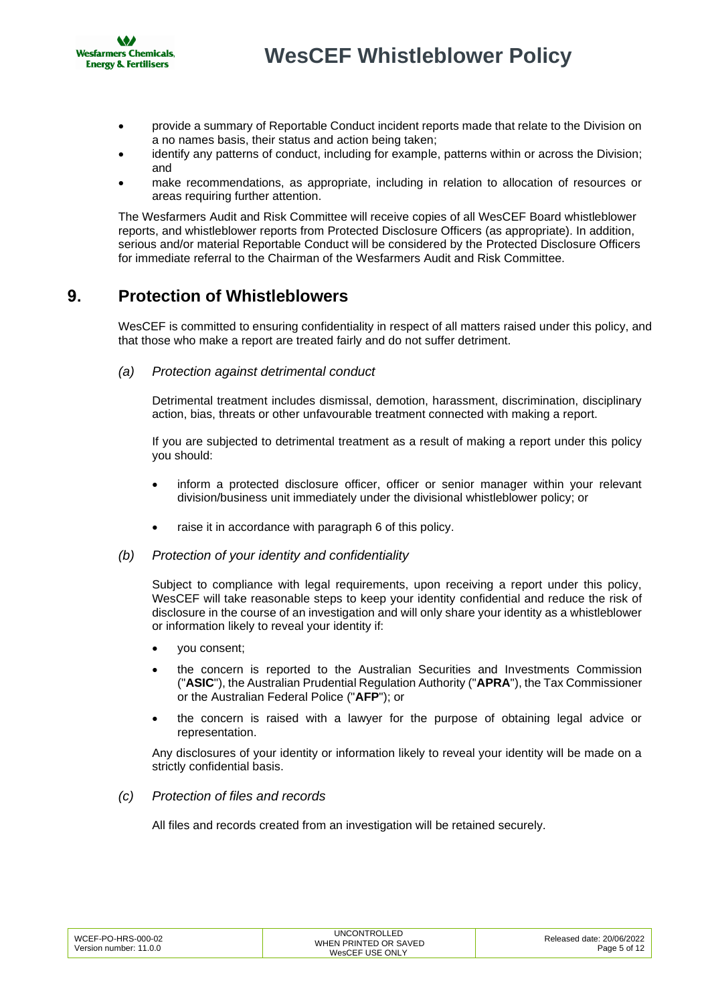

- provide a summary of Reportable Conduct incident reports made that relate to the Division on a no names basis, their status and action being taken;
- identify any patterns of conduct, including for example, patterns within or across the Division; and
- make recommendations, as appropriate, including in relation to allocation of resources or areas requiring further attention.

The Wesfarmers Audit and Risk Committee will receive copies of all WesCEF Board whistleblower reports, and whistleblower reports from Protected Disclosure Officers (as appropriate). In addition, serious and/or material Reportable Conduct will be considered by the Protected Disclosure Officers for immediate referral to the Chairman of the Wesfarmers Audit and Risk Committee.

### <span id="page-4-0"></span>**9. Protection of Whistleblowers**

WesCEF is committed to ensuring confidentiality in respect of all matters raised under this policy, and that those who make a report are treated fairly and do not suffer detriment.

*(a) Protection against detrimental conduct*

Detrimental treatment includes dismissal, demotion, harassment, discrimination, disciplinary action, bias, threats or other unfavourable treatment connected with making a report.

If you are subjected to detrimental treatment as a result of making a report under this policy you should:

- inform a protected disclosure officer, officer or senior manager within your relevant division/business unit immediately under the divisional whistleblower policy; or
- raise it in accordance with paragraph 6 of this policy.
- *(b) Protection of your identity and confidentiality*

Subject to compliance with legal requirements, upon receiving a report under this policy, WesCEF will take reasonable steps to keep your identity confidential and reduce the risk of disclosure in the course of an investigation and will only share your identity as a whistleblower or information likely to reveal your identity if:

- you consent;
- the concern is reported to the Australian Securities and Investments Commission ("**ASIC**"), the Australian Prudential Regulation Authority ("**APRA**"), the Tax Commissioner or the Australian Federal Police ("**AFP**"); or
- the concern is raised with a lawyer for the purpose of obtaining legal advice or representation.

Any disclosures of your identity or information likely to reveal your identity will be made on a strictly confidential basis.

*(c) Protection of files and records*

All files and records created from an investigation will be retained securely.

| WCEF-PO-HRS-000-02     | <b>UNCONTROLLED</b>   | Released date: 20/06/2022 |
|------------------------|-----------------------|---------------------------|
|                        | WHEN PRINTED OR SAVED |                           |
| Version number: 11.0.0 | WesCEF USE ONLY       | Page 5 of 12              |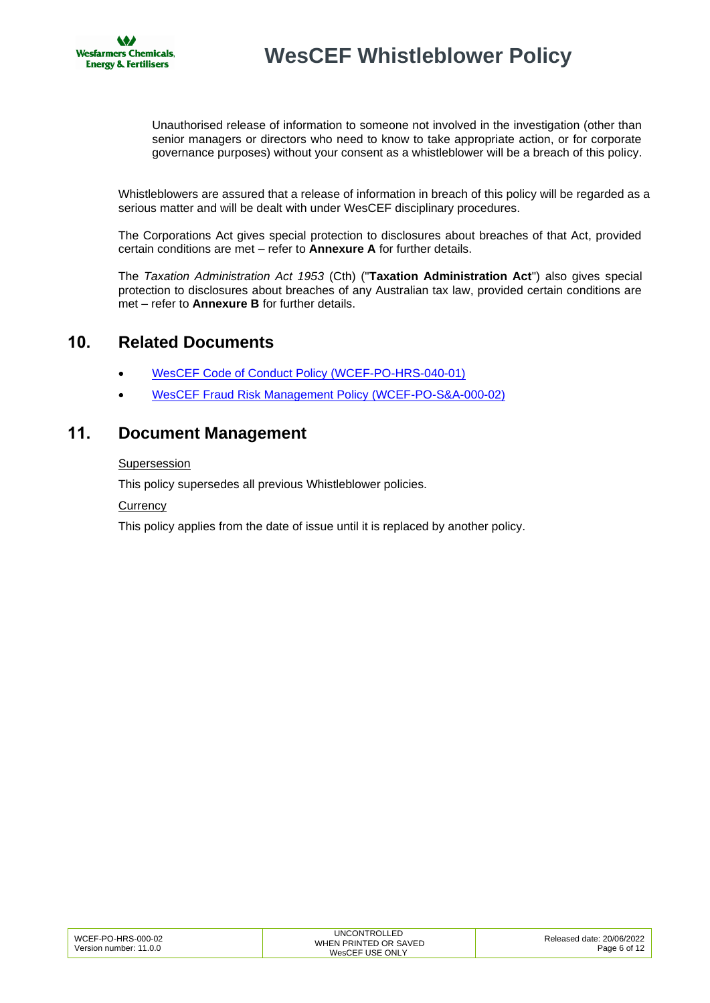

Unauthorised release of information to someone not involved in the investigation (other than senior managers or directors who need to know to take appropriate action, or for corporate governance purposes) without your consent as a whistleblower will be a breach of this policy.

Whistleblowers are assured that a release of information in breach of this policy will be regarded as a serious matter and will be dealt with under WesCEF disciplinary procedures.

The Corporations Act gives special protection to disclosures about breaches of that Act, provided certain conditions are met – refer to **Annexure A** for further details.

The *Taxation Administration Act 1953* (Cth) ("**Taxation Administration Act**") also gives special protection to disclosures about breaches of any Australian tax law, provided certain conditions are met – refer to **Annexure B** for further details.

### <span id="page-5-0"></span>**10. Related Documents**

- [WesCEF Code of Conduct Policy \(WCEF-PO-HRS-040-01\)](http://docova.wescef.com.au/docova/web/app.php/Docova/wHomeFrame?ReadForm&goto=325BDA0D-7E62-4F60-A282-F5D5AEA515F3,0D4910AA-E9A6-4422-8FED-E3021C120FA0,436647F8-2A9B-464C-B380-7233D3D7F999&LatestRelease=true)
- <span id="page-5-1"></span>• [WesCEF Fraud Risk Management Policy \(WCEF-PO-S&A-000-02\)](http://docova.wescef.com.au/docova/web/app.php/Docova/wHomeFrame?ReadForm&goto=187A9A98-E18C-4550-9940-13C6EC9C6F5F,2849B7DD-455F-4D1A-94DA-AE6813027765,E86FCAC8-B34E-4097-B417-286C6BAA08AE&LatestRelease=true)

#### **11. Document Management**

#### Supersession

This policy supersedes all previous Whistleblower policies.

#### **Currency**

This policy applies from the date of issue until it is replaced by another policy.

| WCEF-PO-HRS-000-02     | UNCONTROLLED          | Released date: 20/06/2022 |
|------------------------|-----------------------|---------------------------|
|                        | WHEN PRINTED OR SAVED |                           |
| Version number: 11.0.0 |                       | Page 6 of 12              |
|                        | WesCEF USE ONLY       |                           |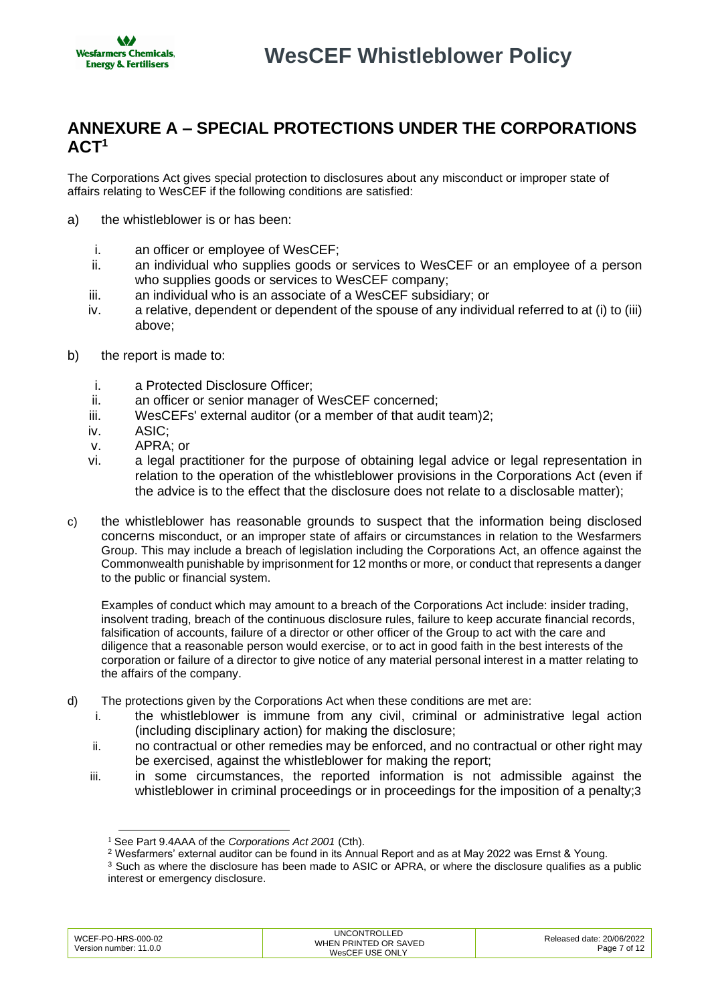## <span id="page-6-0"></span>**ANNEXURE A – SPECIAL PROTECTIONS UNDER THE CORPORATIONS ACT<sup>1</sup>**

The Corporations Act gives special protection to disclosures about any misconduct or improper state of affairs relating to WesCEF if the following conditions are satisfied:

- a) the whistleblower is or has been:
	- i. an officer or employee of WesCEF;
	- ii. an individual who supplies goods or services to WesCEF or an employee of a person who supplies goods or services to WesCEF company;
	- iii. an individual who is an associate of a WesCEF subsidiary; or
	- iv. a relative, dependent or dependent of the spouse of any individual referred to at (i) to (iii) above;
- b) the report is made to:
	- i. a Protected Disclosure Officer;
	- ii. an officer or senior manager of WesCEF concerned;
	- iii. WesCEFs' external auditor (or a member of that audit team)2;
	- iv. ASIC;
	- v. APRA; or
	- vi. a legal practitioner for the purpose of obtaining legal advice or legal representation in relation to the operation of the whistleblower provisions in the Corporations Act (even if the advice is to the effect that the disclosure does not relate to a disclosable matter);
- c) the whistleblower has reasonable grounds to suspect that the information being disclosed concerns misconduct, or an improper state of affairs or circumstances in relation to the Wesfarmers Group. This may include a breach of legislation including the Corporations Act, an offence against the Commonwealth punishable by imprisonment for 12 months or more, or conduct that represents a danger to the public or financial system.

Examples of conduct which may amount to a breach of the Corporations Act include: insider trading, insolvent trading, breach of the continuous disclosure rules, failure to keep accurate financial records, falsification of accounts, failure of a director or other officer of the Group to act with the care and diligence that a reasonable person would exercise, or to act in good faith in the best interests of the corporation or failure of a director to give notice of any material personal interest in a matter relating to the affairs of the company.

- d) The protections given by the Corporations Act when these conditions are met are:
	- i. the whistleblower is immune from any civil, criminal or administrative legal action (including disciplinary action) for making the disclosure;
	- ii. no contractual or other remedies may be enforced, and no contractual or other right may be exercised, against the whistleblower for making the report;
	- iii. in some circumstances, the reported information is not admissible against the whistleblower in criminal proceedings or in proceedings for the imposition of a penalty;3

<sup>&</sup>lt;sup>3</sup> Such as where the disclosure has been made to ASIC or APRA, or where the disclosure qualifies as a public interest or emergency disclosure.

| WCEF-PO-HRS-000-02     | <b>UNCONTROLLED</b>   | Released date: 20/06/2022 |
|------------------------|-----------------------|---------------------------|
| Version number: 11.0.0 | WHEN PRINTED OR SAVED | Page 7 of 12              |
|                        | WesCEF USE ONLY       |                           |

<sup>1</sup> See Part 9.4AAA of the *Corporations Act 2001* (Cth).

<sup>2</sup> Wesfarmers' external auditor can be found in its Annual Report and as at May 2022 was Ernst & Young.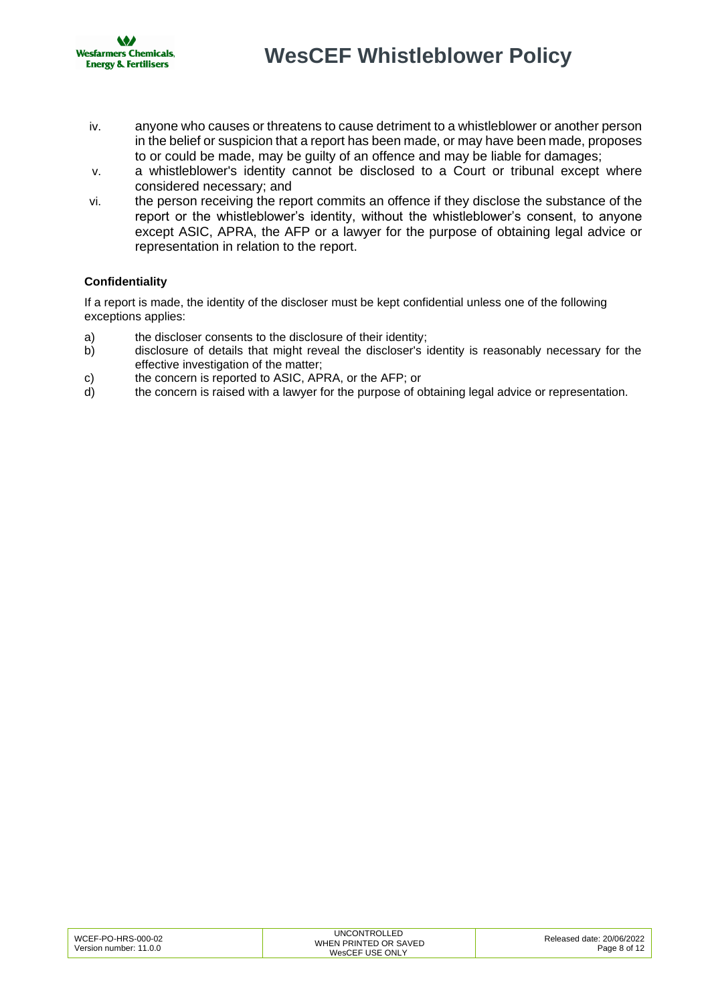

- iv. anyone who causes or threatens to cause detriment to a whistleblower or another person in the belief or suspicion that a report has been made, or may have been made, proposes to or could be made, may be guilty of an offence and may be liable for damages;
- v. a whistleblower's identity cannot be disclosed to a Court or tribunal except where considered necessary; and
- vi. the person receiving the report commits an offence if they disclose the substance of the report or the whistleblower's identity, without the whistleblower's consent, to anyone except ASIC, APRA, the AFP or a lawyer for the purpose of obtaining legal advice or representation in relation to the report.

#### **Confidentiality**

If a report is made, the identity of the discloser must be kept confidential unless one of the following exceptions applies:

- a) the discloser consents to the disclosure of their identity;
- b) disclosure of details that might reveal the discloser's identity is reasonably necessary for the effective investigation of the matter;
- c) the concern is reported to ASIC, APRA, or the AFP; or
- d) the concern is raised with a lawyer for the purpose of obtaining legal advice or representation.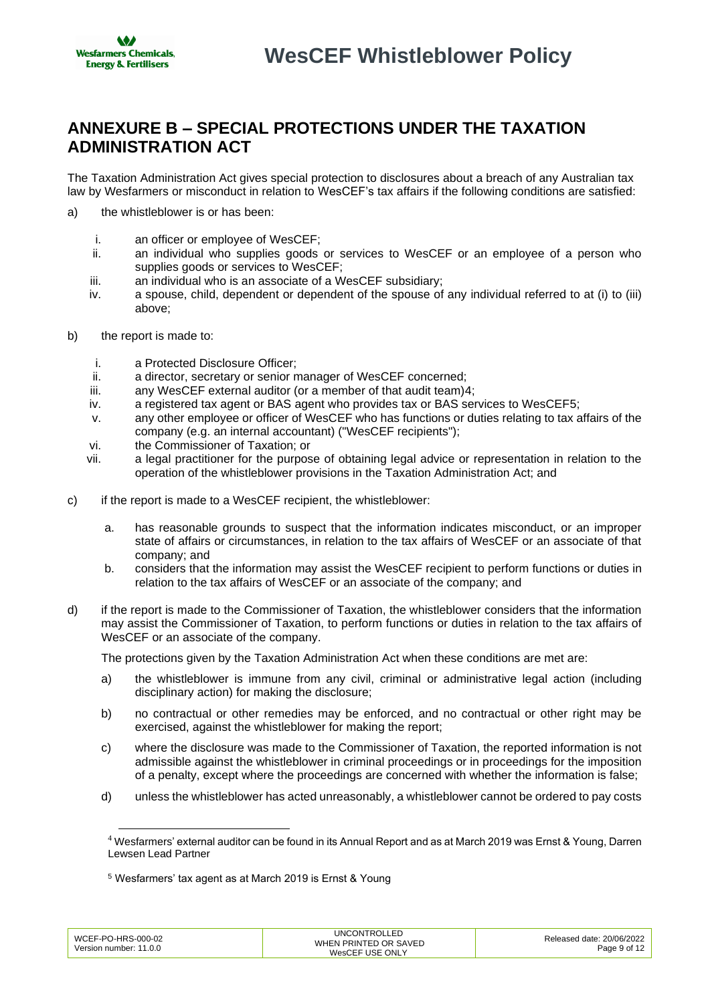## <span id="page-8-0"></span>**ANNEXURE B – SPECIAL PROTECTIONS UNDER THE TAXATION ADMINISTRATION ACT**

The Taxation Administration Act gives special protection to disclosures about a breach of any Australian tax law by Wesfarmers or misconduct in relation to WesCEF's tax affairs if the following conditions are satisfied:

- a) the whistleblower is or has been:
	- i. an officer or employee of WesCEF;
	- ii. an individual who supplies goods or services to WesCEF or an employee of a person who supplies goods or services to WesCEF;
	- iii. an individual who is an associate of a WesCEF subsidiary;
	- iv. a spouse, child, dependent or dependent of the spouse of any individual referred to at (i) to (iii) above;
- b) the report is made to:
	- i. a Protected Disclosure Officer;
	- ii. a director, secretary or senior manager of WesCEF concerned;
	- iii. any WesCEF external auditor (or a member of that audit team)4;
	- iv. a registered tax agent or BAS agent who provides tax or BAS services to WesCEF5;
	- v. any other employee or officer of WesCEF who has functions or duties relating to tax affairs of the company (e.g. an internal accountant) ("WesCEF recipients");
	- vi. the Commissioner of Taxation; or
	- vii. a legal practitioner for the purpose of obtaining legal advice or representation in relation to the operation of the whistleblower provisions in the Taxation Administration Act; and
- c) if the report is made to a WesCEF recipient, the whistleblower:
	- a. has reasonable grounds to suspect that the information indicates misconduct, or an improper state of affairs or circumstances, in relation to the tax affairs of WesCEF or an associate of that company; and
	- b. considers that the information may assist the WesCEF recipient to perform functions or duties in relation to the tax affairs of WesCEF or an associate of the company; and
- d) if the report is made to the Commissioner of Taxation, the whistleblower considers that the information may assist the Commissioner of Taxation, to perform functions or duties in relation to the tax affairs of WesCEF or an associate of the company.

The protections given by the Taxation Administration Act when these conditions are met are:

- a) the whistleblower is immune from any civil, criminal or administrative legal action (including disciplinary action) for making the disclosure;
- b) no contractual or other remedies may be enforced, and no contractual or other right may be exercised, against the whistleblower for making the report;
- c) where the disclosure was made to the Commissioner of Taxation, the reported information is not admissible against the whistleblower in criminal proceedings or in proceedings for the imposition of a penalty, except where the proceedings are concerned with whether the information is false;
- d) unless the whistleblower has acted unreasonably, a whistleblower cannot be ordered to pay costs

<sup>5</sup> Wesfarmers' tax agent as at March 2019 is Ernst & Young

| WCEF-PO-HRS-000-02     | <b>UNCONTROLLED</b>   | Released date: 20/06/2022 |
|------------------------|-----------------------|---------------------------|
|                        | WHEN PRINTED OR SAVED |                           |
| Version number: 11.0.0 |                       | Page 9 of 12              |
|                        | WesCEF USE ONLY       |                           |

<sup>4</sup> Wesfarmers' external auditor can be found in its Annual Report and as at March 2019 was Ernst & Young, Darren Lewsen Lead Partner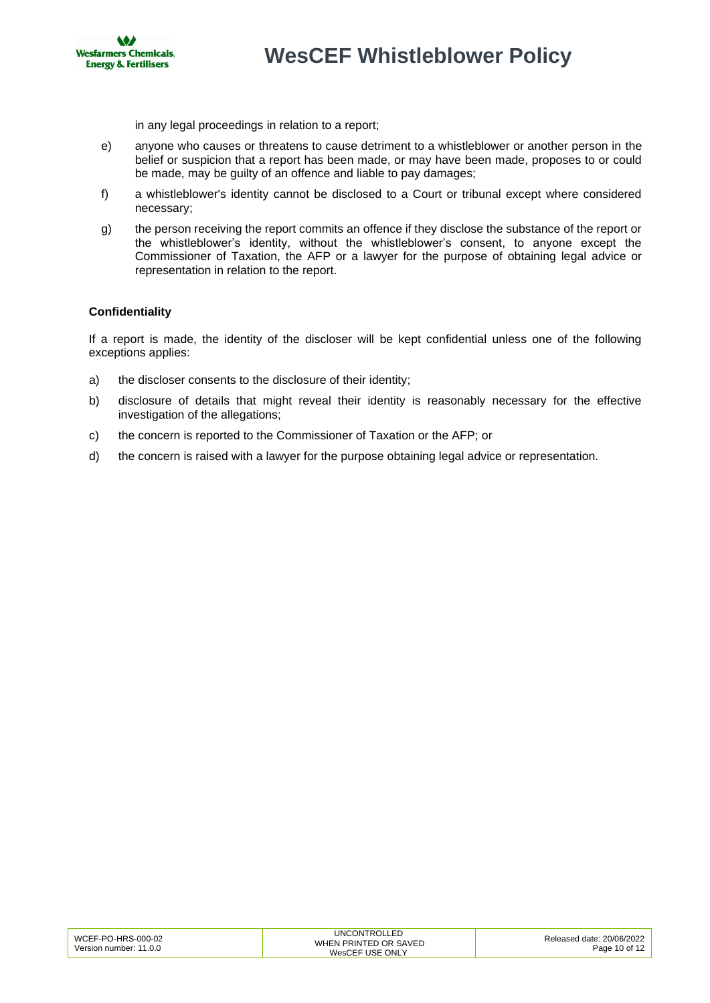

in any legal proceedings in relation to a report;

- e) anyone who causes or threatens to cause detriment to a whistleblower or another person in the belief or suspicion that a report has been made, or may have been made, proposes to or could be made, may be guilty of an offence and liable to pay damages;
- f) a whistleblower's identity cannot be disclosed to a Court or tribunal except where considered necessary;
- g) the person receiving the report commits an offence if they disclose the substance of the report or the whistleblower's identity, without the whistleblower's consent, to anyone except the Commissioner of Taxation, the AFP or a lawyer for the purpose of obtaining legal advice or representation in relation to the report.

#### **Confidentiality**

If a report is made, the identity of the discloser will be kept confidential unless one of the following exceptions applies:

- a) the discloser consents to the disclosure of their identity;
- b) disclosure of details that might reveal their identity is reasonably necessary for the effective investigation of the allegations;
- c) the concern is reported to the Commissioner of Taxation or the AFP; or
- d) the concern is raised with a lawyer for the purpose obtaining legal advice or representation.

| WCEF-PO-HRS-000-02     | <b>UNCONTROLLED</b>   | Released date: 20/06/2022 |
|------------------------|-----------------------|---------------------------|
|                        | WHEN PRINTED OR SAVED |                           |
| Version number: 11.0.0 |                       | Page 10 of 12             |
|                        | WesCEF USE ONLY       |                           |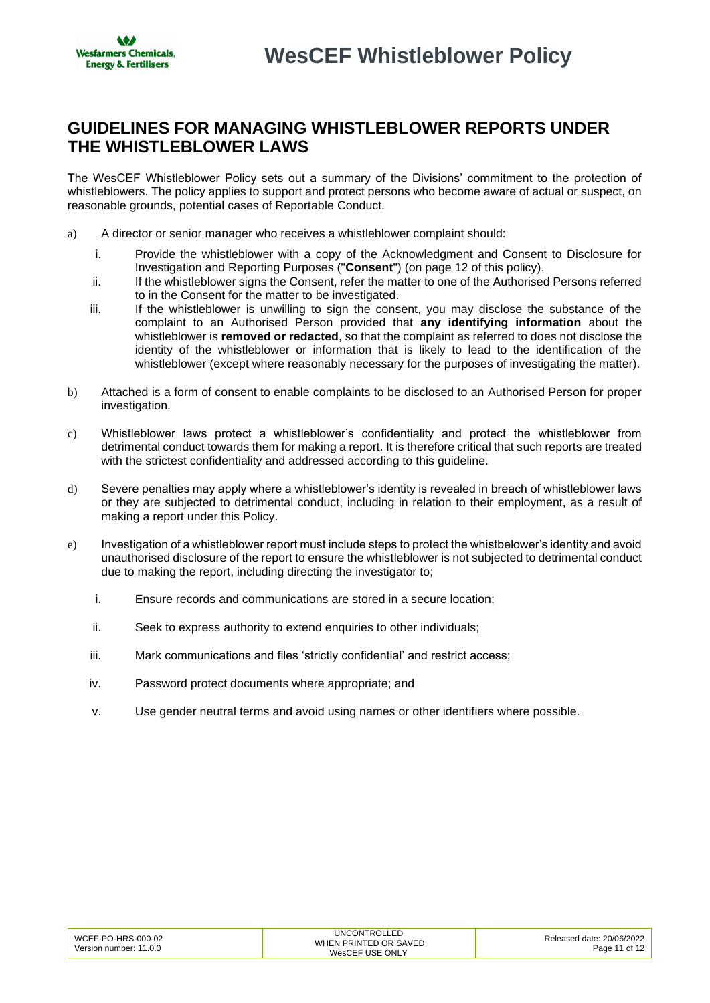### <span id="page-10-0"></span>**GUIDELINES FOR MANAGING WHISTLEBLOWER REPORTS UNDER THE WHISTLEBLOWER LAWS**

The WesCEF Whistleblower Policy sets out a summary of the Divisions' commitment to the protection of whistleblowers. The policy applies to support and protect persons who become aware of actual or suspect, on reasonable grounds, potential cases of Reportable Conduct.

- a) A director or senior manager who receives a whistleblower complaint should:
	- i. Provide the whistleblower with a copy of the Acknowledgment and Consent to Disclosure for Investigation and Reporting Purposes ("**Consent**") (on page 12 of this policy).
	- ii. If the whistleblower signs the Consent, refer the matter to one of the Authorised Persons referred to in the Consent for the matter to be investigated.
	- iii. If the whistleblower is unwilling to sign the consent, you may disclose the substance of the complaint to an Authorised Person provided that **any identifying information** about the whistleblower is **removed or redacted**, so that the complaint as referred to does not disclose the identity of the whistleblower or information that is likely to lead to the identification of the whistleblower (except where reasonably necessary for the purposes of investigating the matter).
- b) Attached is a form of consent to enable complaints to be disclosed to an Authorised Person for proper investigation.
- c) Whistleblower laws protect a whistleblower's confidentiality and protect the whistleblower from detrimental conduct towards them for making a report. It is therefore critical that such reports are treated with the strictest confidentiality and addressed according to this guideline.
- d) Severe penalties may apply where a whistleblower's identity is revealed in breach of whistleblower laws or they are subjected to detrimental conduct, including in relation to their employment, as a result of making a report under this Policy.
- e) Investigation of a whistleblower report must include steps to protect the whistbelower's identity and avoid unauthorised disclosure of the report to ensure the whistleblower is not subjected to detrimental conduct due to making the report, including directing the investigator to;
	- i. Ensure records and communications are stored in a secure location;
	- ii. Seek to express authority to extend enquiries to other individuals;
	- iii. Mark communications and files 'strictly confidential' and restrict access;
	- iv. Password protect documents where appropriate; and
	- v. Use gender neutral terms and avoid using names or other identifiers where possible.

| WCEF-PO-HRS-000-02     | <b>UNCONTROLLED</b>   | Released date: 20/06/2022 |
|------------------------|-----------------------|---------------------------|
|                        | WHEN PRINTED OR SAVED |                           |
| Version number: 11.0.0 |                       | Page 11 of 12             |
|                        | WesCEF USE ONLY       |                           |